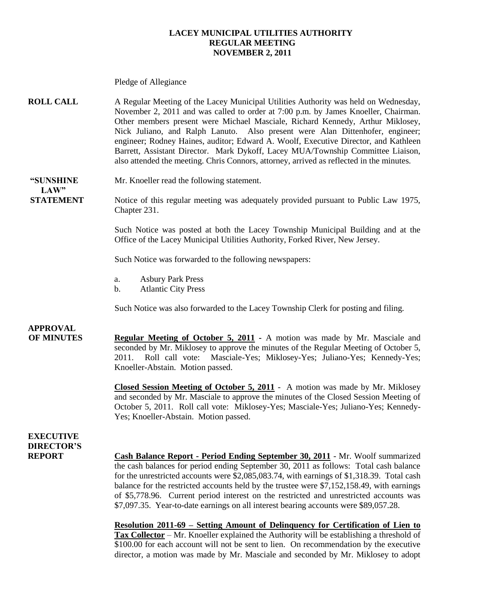#### **LACEY MUNICIPAL UTILITIES AUTHORITY REGULAR MEETING NOVEMBER 2, 2011**

Pledge of Allegiance

**ROLL CALL** A Regular Meeting of the Lacey Municipal Utilities Authority was held on Wednesday, November 2, 2011 and was called to order at 7:00 p.m. by James Knoeller, Chairman. Other members present were Michael Masciale, Richard Kennedy, Arthur Miklosey, Nick Juliano, and Ralph Lanuto. Also present were Alan Dittenhofer, engineer; engineer; Rodney Haines, auditor; Edward A. Woolf, Executive Director, and Kathleen Barrett, Assistant Director. Mark Dykoff, Lacey MUA/Township Committee Liaison, also attended the meeting. Chris Connors, attorney, arrived as reflected in the minutes.

#### **"SUNSHINE** Mr. Knoeller read the following statement. **LAW"**

**STATEMENT** Notice of this regular meeting was adequately provided pursuant to Public Law 1975, Chapter 231.

> Such Notice was posted at both the Lacey Township Municipal Building and at the Office of the Lacey Municipal Utilities Authority, Forked River, New Jersey.

Such Notice was forwarded to the following newspapers:

- a. Asbury Park Press
- b. Atlantic City Press

Such Notice was also forwarded to the Lacey Township Clerk for posting and filing.

#### **APPROVAL**

**OF MINUTES Regular Meeting of October 5, 2011 -** A motion was made by Mr. Masciale and seconded by Mr. Miklosey to approve the minutes of the Regular Meeting of October 5, 2011. Roll call vote: Masciale-Yes; Miklosey-Yes; Juliano-Yes; Kennedy-Yes; Knoeller-Abstain. Motion passed.

> **Closed Session Meeting of October 5, 2011** - A motion was made by Mr. Miklosey and seconded by Mr. Masciale to approve the minutes of the Closed Session Meeting of October 5, 2011. Roll call vote: Miklosey-Yes; Masciale-Yes; Juliano-Yes; Kennedy-Yes; Knoeller-Abstain. Motion passed.

#### **EXECUTIVE DIRECTOR'S**

**REPORT Cash Balance Report - Period Ending September 30, 2011** - Mr. Woolf summarized the cash balances for period ending September 30, 2011 as follows: Total cash balance for the unrestricted accounts were \$2,085,083.74, with earnings of \$1,318.39. Total cash balance for the restricted accounts held by the trustee were \$7,152,158.49, with earnings of \$5,778.96. Current period interest on the restricted and unrestricted accounts was \$7,097.35. Year-to-date earnings on all interest bearing accounts were \$89,057.28.

> **Resolution 2011-69 – Setting Amount of Delinquency for Certification of Lien to Tax Collector** – Mr. Knoeller explained the Authority will be establishing a threshold of \$100.00 for each account will not be sent to lien. On recommendation by the executive director, a motion was made by Mr. Masciale and seconded by Mr. Miklosey to adopt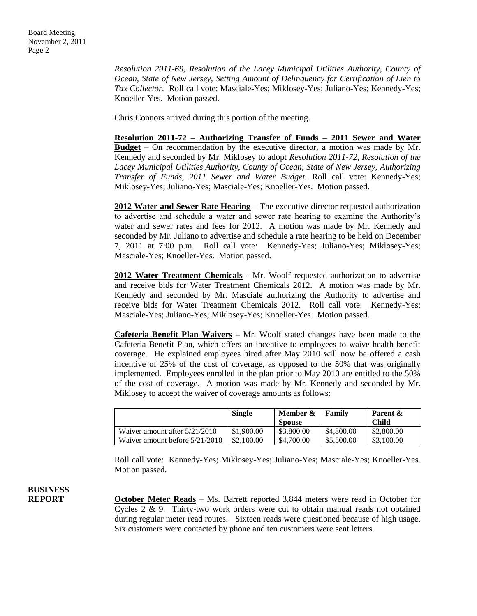*Resolution 2011-69, Resolution of the Lacey Municipal Utilities Authority, County of Ocean, State of New Jersey, Setting Amount of Delinquency for Certification of Lien to Tax Collector.* Roll call vote: Masciale-Yes; Miklosey-Yes; Juliano-Yes; Kennedy-Yes; Knoeller-Yes. Motion passed.

Chris Connors arrived during this portion of the meeting.

**Resolution 2011-72 – Authorizing Transfer of Funds – 2011 Sewer and Water Budget** – On recommendation by the executive director, a motion was made by Mr. Kennedy and seconded by Mr. Miklosey to adopt *Resolution 2011-72, Resolution of the Lacey Municipal Utilities Authority, County of Ocean, State of New Jersey, Authorizing Transfer of Funds, 2011 Sewer and Water Budget.* Roll call vote: Kennedy-Yes; Miklosey-Yes; Juliano-Yes; Masciale-Yes; Knoeller-Yes. Motion passed.

**2012 Water and Sewer Rate Hearing** – The executive director requested authorization to advertise and schedule a water and sewer rate hearing to examine the Authority's water and sewer rates and fees for 2012. A motion was made by Mr. Kennedy and seconded by Mr. Juliano to advertise and schedule a rate hearing to be held on December 7, 2011 at 7:00 p.m. Roll call vote: Kennedy-Yes; Juliano-Yes; Miklosey-Yes; Masciale-Yes; Knoeller-Yes. Motion passed.

**2012 Water Treatment Chemicals** - Mr. Woolf requested authorization to advertise and receive bids for Water Treatment Chemicals 2012. A motion was made by Mr. Kennedy and seconded by Mr. Masciale authorizing the Authority to advertise and receive bids for Water Treatment Chemicals 2012. Roll call vote: Kennedy-Yes; Masciale-Yes; Juliano-Yes; Miklosey-Yes; Knoeller-Yes. Motion passed.

**Cafeteria Benefit Plan Waivers** – Mr. Woolf stated changes have been made to the Cafeteria Benefit Plan, which offers an incentive to employees to waive health benefit coverage. He explained employees hired after May 2010 will now be offered a cash incentive of 25% of the cost of coverage, as opposed to the 50% that was originally implemented. Employees enrolled in the plan prior to May 2010 are entitled to the 50% of the cost of coverage. A motion was made by Mr. Kennedy and seconded by Mr. Miklosey to accept the waiver of coverage amounts as follows:

|                                  | <b>Single</b> | Member &<br><b>Spouse</b> | Family     | Parent &<br><b>Child</b> |
|----------------------------------|---------------|---------------------------|------------|--------------------------|
| Waiver amount after $5/21/2010$  | \$1,900.00    | \$3,800.00                | \$4,800.00 | \$2,800.00               |
| Waiver amount before $5/21/2010$ | \$2,100.00    | \$4,700.00                | \$5,500.00 | \$3,100.00               |

Roll call vote: Kennedy-Yes; Miklosey-Yes; Juliano-Yes; Masciale-Yes; Knoeller-Yes. Motion passed.

### **BUSINESS**

**REPORT October Meter Reads** – Ms. Barrett reported 3,844 meters were read in October for Cycles 2 & 9. Thirty-two work orders were cut to obtain manual reads not obtained during regular meter read routes. Sixteen reads were questioned because of high usage. Six customers were contacted by phone and ten customers were sent letters.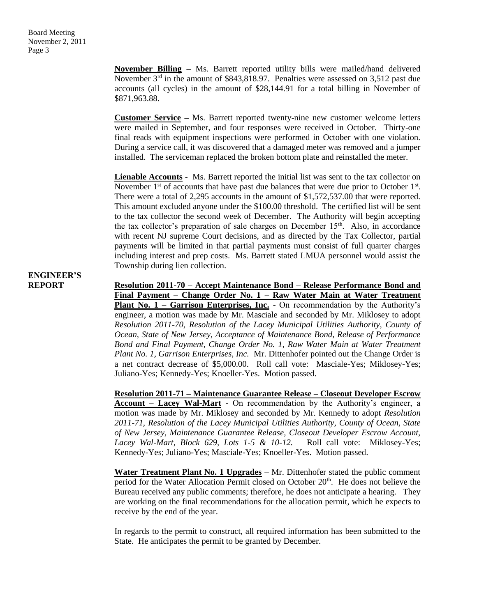**November Billing –** Ms. Barrett reported utility bills were mailed/hand delivered November  $3^{rd}$  in the amount of \$843,818.97. Penalties were assessed on 3,512 past due accounts (all cycles) in the amount of \$28,144.91 for a total billing in November of \$871,963.88.

**Customer Service –** Ms. Barrett reported twenty-nine new customer welcome letters were mailed in September, and four responses were received in October. Thirty-one final reads with equipment inspections were performed in October with one violation. During a service call, it was discovered that a damaged meter was removed and a jumper installed. The serviceman replaced the broken bottom plate and reinstalled the meter.

**Lienable Accounts** - Ms. Barrett reported the initial list was sent to the tax collector on November  $1<sup>st</sup>$  of accounts that have past due balances that were due prior to October  $1<sup>st</sup>$ . There were a total of 2,295 accounts in the amount of \$1,572,537.00 that were reported. This amount excluded anyone under the \$100.00 threshold. The certified list will be sent to the tax collector the second week of December. The Authority will begin accepting the tax collector's preparation of sale charges on December 15th. Also, in accordance with recent NJ supreme Court decisions, and as directed by the Tax Collector, partial payments will be limited in that partial payments must consist of full quarter charges including interest and prep costs. Ms. Barrett stated LMUA personnel would assist the Township during lien collection.

## **ENGINEER'S**

**REPORT Resolution 2011-70 – Accept Maintenance Bond – Release Performance Bond and Final Payment – Change Order No. 1 – Raw Water Main at Water Treatment Plant No. 1 – Garrison Enterprises, Inc.** - On recommendation by the Authority's engineer, a motion was made by Mr. Masciale and seconded by Mr. Miklosey to adopt *Resolution 2011-70, Resolution of the Lacey Municipal Utilities Authority, County of Ocean, State of New Jersey, Acceptance of Maintenance Bond, Release of Performance Bond and Final Payment, Change Order No. 1, Raw Water Main at Water Treatment Plant No. 1, Garrison Enterprises, Inc.* Mr. Dittenhofer pointed out the Change Order is a net contract decrease of \$5,000.00. Roll call vote: Masciale-Yes; Miklosey-Yes; Juliano-Yes; Kennedy-Yes; Knoeller-Yes. Motion passed.

> **Resolution 2011-71 – Maintenance Guarantee Release – Closeout Developer Escrow Account – Lacey Wal-Mart** - On recommendation by the Authority's engineer, a motion was made by Mr. Miklosey and seconded by Mr. Kennedy to adopt *Resolution 2011-71, Resolution of the Lacey Municipal Utilities Authority, County of Ocean, State of New Jersey, Maintenance Guarantee Release, Closeout Developer Escrow Account, Lacey Wal-Mart, Block 629, Lots 1-5 & 10-12.* Roll call vote: Miklosey-Yes; Kennedy-Yes; Juliano-Yes; Masciale-Yes; Knoeller-Yes. Motion passed.

> **Water Treatment Plant No. 1 Upgrades** – Mr. Dittenhofer stated the public comment period for the Water Allocation Permit closed on October 20<sup>th</sup>. He does not believe the Bureau received any public comments; therefore, he does not anticipate a hearing. They are working on the final recommendations for the allocation permit, which he expects to receive by the end of the year.

> In regards to the permit to construct, all required information has been submitted to the State. He anticipates the permit to be granted by December.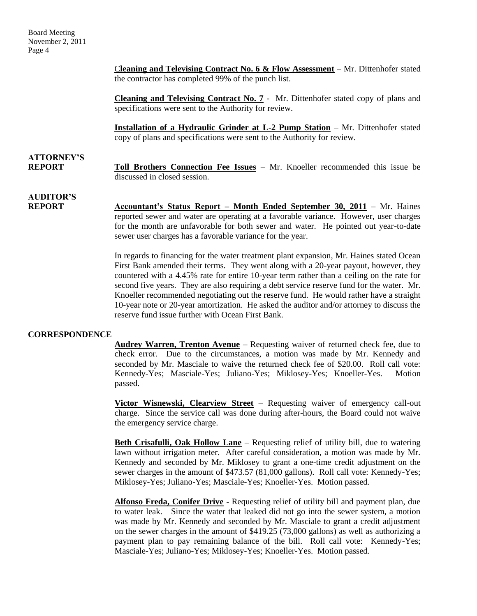Board Meeting November 2, 2011 Page 4

> C**leaning and Televising Contract No. 6 & Flow Assessment** – Mr. Dittenhofer stated the contractor has completed 99% of the punch list.

> **Cleaning and Televising Contract No. 7** - Mr. Dittenhofer stated copy of plans and specifications were sent to the Authority for review.

> **Installation of a Hydraulic Grinder at L-2 Pump Station** – Mr. Dittenhofer stated copy of plans and specifications were sent to the Authority for review.

# **ATTORNEY'S**

**REPORT Toll Brothers Connection Fee Issues** – Mr. Knoeller recommended this issue be discussed in closed session.

# **AUDITOR'S**

**REPORT Accountant's Status Report – Month Ended September 30, 2011** – Mr. Haines reported sewer and water are operating at a favorable variance. However, user charges for the month are unfavorable for both sewer and water. He pointed out year-to-date sewer user charges has a favorable variance for the year.

> In regards to financing for the water treatment plant expansion, Mr. Haines stated Ocean First Bank amended their terms. They went along with a 20-year payout, however, they countered with a 4.45% rate for entire 10-year term rather than a ceiling on the rate for second five years. They are also requiring a debt service reserve fund for the water. Mr. Knoeller recommended negotiating out the reserve fund. He would rather have a straight 10-year note or 20-year amortization. He asked the auditor and/or attorney to discuss the reserve fund issue further with Ocean First Bank.

#### **CORRESPONDENCE**

**Audrey Warren, Trenton Avenue** – Requesting waiver of returned check fee, due to check error. Due to the circumstances, a motion was made by Mr. Kennedy and seconded by Mr. Masciale to waive the returned check fee of \$20.00. Roll call vote: Kennedy-Yes; Masciale-Yes; Juliano-Yes; Miklosey-Yes; Knoeller-Yes. Motion passed.

**Victor Wisnewski, Clearview Street** – Requesting waiver of emergency call-out charge. Since the service call was done during after-hours, the Board could not waive the emergency service charge.

**Beth Crisafulli, Oak Hollow Lane** – Requesting relief of utility bill, due to watering lawn without irrigation meter. After careful consideration, a motion was made by Mr. Kennedy and seconded by Mr. Miklosey to grant a one-time credit adjustment on the sewer charges in the amount of \$473.57 (81,000 gallons). Roll call vote: Kennedy-Yes; Miklosey-Yes; Juliano-Yes; Masciale-Yes; Knoeller-Yes. Motion passed.

**Alfonso Freda, Conifer Drive** - Requesting relief of utility bill and payment plan, due to water leak. Since the water that leaked did not go into the sewer system, a motion was made by Mr. Kennedy and seconded by Mr. Masciale to grant a credit adjustment on the sewer charges in the amount of \$419.25 (73,000 gallons) as well as authorizing a payment plan to pay remaining balance of the bill. Roll call vote: Kennedy-Yes; Masciale-Yes; Juliano-Yes; Miklosey-Yes; Knoeller-Yes. Motion passed.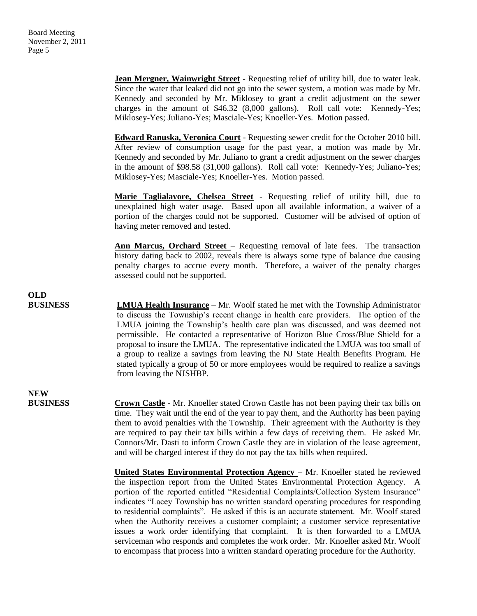**Jean Mergner, Wainwright Street** - Requesting relief of utility bill, due to water leak. Since the water that leaked did not go into the sewer system, a motion was made by Mr. Kennedy and seconded by Mr. Miklosey to grant a credit adjustment on the sewer charges in the amount of \$46.32 (8,000 gallons). Roll call vote: Kennedy-Yes; Miklosey-Yes; Juliano-Yes; Masciale-Yes; Knoeller-Yes. Motion passed.

**Edward Ranuska, Veronica Court** - Requesting sewer credit for the October 2010 bill. After review of consumption usage for the past year, a motion was made by Mr. Kennedy and seconded by Mr. Juliano to grant a credit adjustment on the sewer charges in the amount of \$98.58 (31,000 gallons). Roll call vote: Kennedy-Yes; Juliano-Yes; Miklosey-Yes; Masciale-Yes; Knoeller-Yes. Motion passed.

**Marie Taglialavore, Chelsea Street** - Requesting relief of utility bill, due to unexplained high water usage. Based upon all available information, a waiver of a portion of the charges could not be supported. Customer will be advised of option of having meter removed and tested.

**Ann Marcus, Orchard Street** – Requesting removal of late fees. The transaction history dating back to 2002, reveals there is always some type of balance due causing penalty charges to accrue every month. Therefore, a waiver of the penalty charges assessed could not be supported.

**OLD BUSINESS LMUA Health Insurance** – Mr. Woolf stated he met with the Township Administrator to discuss the Township's recent change in health care providers. The option of the LMUA joining the Township's health care plan was discussed, and was deemed not permissible. He contacted a representative of Horizon Blue Cross/Blue Shield for a proposal to insure the LMUA. The representative indicated the LMUA was too small of a group to realize a savings from leaving the NJ State Health Benefits Program. He stated typically a group of 50 or more employees would be required to realize a savings from leaving the NJSHBP.

## **NEW**

**BUSINESS Crown Castle** - Mr. Knoeller stated Crown Castle has not been paying their tax bills on time. They wait until the end of the year to pay them, and the Authority has been paying them to avoid penalties with the Township. Their agreement with the Authority is they are required to pay their tax bills within a few days of receiving them. He asked Mr. Connors/Mr. Dasti to inform Crown Castle they are in violation of the lease agreement, and will be charged interest if they do not pay the tax bills when required.

> **United States Environmental Protection Agency** – Mr. Knoeller stated he reviewed the inspection report from the United States Environmental Protection Agency. A portion of the reported entitled "Residential Complaints/Collection System Insurance" indicates "Lacey Township has no written standard operating procedures for responding to residential complaints". He asked if this is an accurate statement. Mr. Woolf stated when the Authority receives a customer complaint; a customer service representative issues a work order identifying that complaint. It is then forwarded to a LMUA serviceman who responds and completes the work order. Mr. Knoeller asked Mr. Woolf to encompass that process into a written standard operating procedure for the Authority.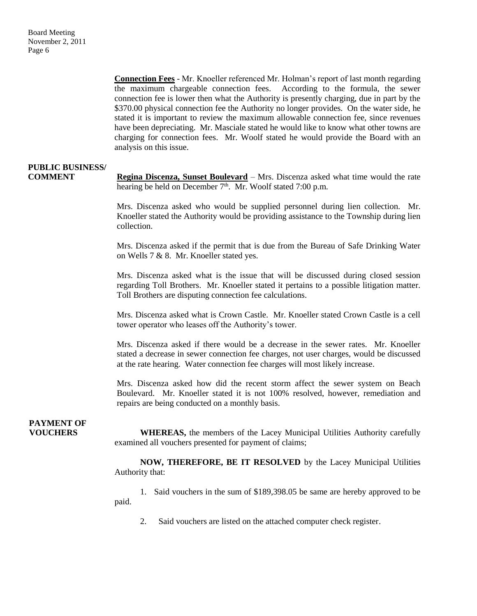**Connection Fees** - Mr. Knoeller referenced Mr. Holman's report of last month regarding the maximum chargeable connection fees. According to the formula, the sewer connection fee is lower then what the Authority is presently charging, due in part by the \$370.00 physical connection fee the Authority no longer provides. On the water side, he stated it is important to review the maximum allowable connection fee, since revenues have been depreciating. Mr. Masciale stated he would like to know what other towns are charging for connection fees. Mr. Woolf stated he would provide the Board with an analysis on this issue.

#### **PUBLIC BUSINESS/**

**COMMENT Regina Discenza, Sunset Boulevard** – Mrs. Discenza asked what time would the rate hearing be held on December  $7<sup>th</sup>$ . Mr. Woolf stated 7:00 p.m.

> Mrs. Discenza asked who would be supplied personnel during lien collection. Mr. Knoeller stated the Authority would be providing assistance to the Township during lien collection.

> Mrs. Discenza asked if the permit that is due from the Bureau of Safe Drinking Water on Wells 7 & 8. Mr. Knoeller stated yes.

> Mrs. Discenza asked what is the issue that will be discussed during closed session regarding Toll Brothers. Mr. Knoeller stated it pertains to a possible litigation matter. Toll Brothers are disputing connection fee calculations.

> Mrs. Discenza asked what is Crown Castle. Mr. Knoeller stated Crown Castle is a cell tower operator who leases off the Authority's tower.

> Mrs. Discenza asked if there would be a decrease in the sewer rates. Mr. Knoeller stated a decrease in sewer connection fee charges, not user charges, would be discussed at the rate hearing. Water connection fee charges will most likely increase.

> Mrs. Discenza asked how did the recent storm affect the sewer system on Beach Boulevard. Mr. Knoeller stated it is not 100% resolved, however, remediation and repairs are being conducted on a monthly basis.

## **PAYMENT OF**

**VOUCHERS** WHEREAS, the members of the Lacey Municipal Utilities Authority carefully examined all vouchers presented for payment of claims;

> **NOW, THEREFORE, BE IT RESOLVED** by the Lacey Municipal Utilities Authority that:

> 1. Said vouchers in the sum of \$189,398.05 be same are hereby approved to be paid.

2. Said vouchers are listed on the attached computer check register.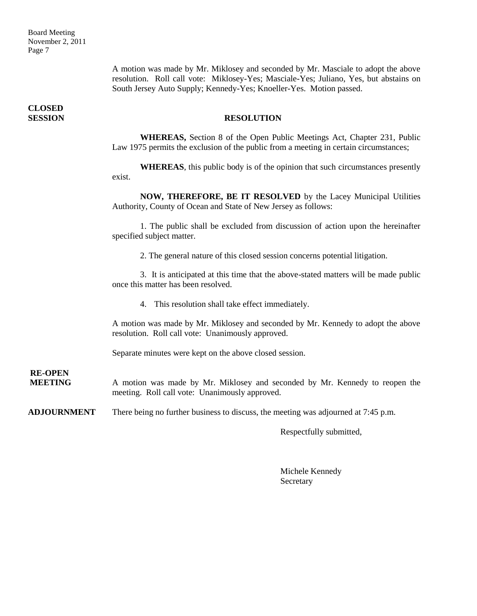Board Meeting November 2, 2011 Page 7

> A motion was made by Mr. Miklosey and seconded by Mr. Masciale to adopt the above resolution. Roll call vote: Miklosey-Yes; Masciale-Yes; Juliano, Yes, but abstains on South Jersey Auto Supply; Kennedy-Yes; Knoeller-Yes. Motion passed.

**SESSION RESOLUTION**

**WHEREAS,** Section 8 of the Open Public Meetings Act, Chapter 231, Public Law 1975 permits the exclusion of the public from a meeting in certain circumstances;

**WHEREAS**, this public body is of the opinion that such circumstances presently exist.

**NOW, THEREFORE, BE IT RESOLVED** by the Lacey Municipal Utilities Authority, County of Ocean and State of New Jersey as follows:

1. The public shall be excluded from discussion of action upon the hereinafter specified subject matter.

2. The general nature of this closed session concerns potential litigation.

3. It is anticipated at this time that the above-stated matters will be made public once this matter has been resolved.

4. This resolution shall take effect immediately.

A motion was made by Mr. Miklosey and seconded by Mr. Kennedy to adopt the above resolution. Roll call vote: Unanimously approved.

Separate minutes were kept on the above closed session.

**RE-OPEN**

**MEETING** A motion was made by Mr. Miklosey and seconded by Mr. Kennedy to reopen the meeting. Roll call vote: Unanimously approved.

**ADJOURNMENT** There being no further business to discuss, the meeting was adjourned at 7:45 p.m.

Respectfully submitted,

Michele Kennedy Secretary

**CLOSED**